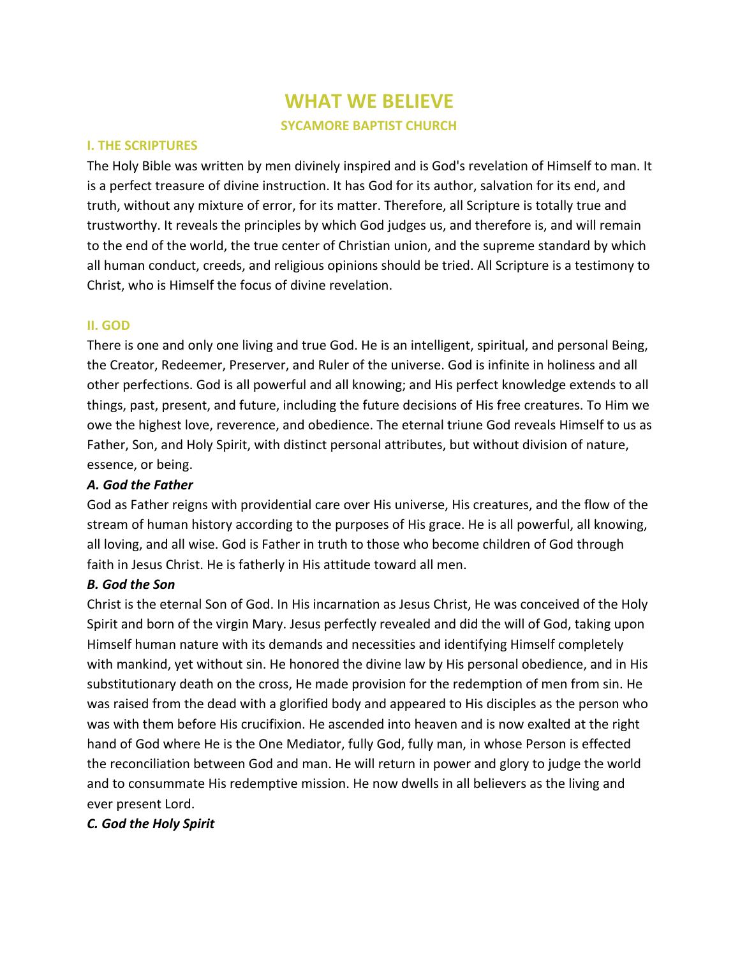# **WHAT WE BELIEVE SYCAMORE BAPTIST CHURCH**

#### **I. THE SCRIPTURES**

The Holy Bible was written by men divinely inspired and is God's revelation of Himself to man. It is a perfect treasure of divine instruction. It has God for its author, salvation for its end, and truth, without any mixture of error, for its matter. Therefore, all Scripture is totally true and trustworthy. It reveals the principles by which God judges us, and therefore is, and will remain to the end of the world, the true center of Christian union, and the supreme standard by which all human conduct, creeds, and religious opinions should be tried. All Scripture is a testimony to Christ, who is Himself the focus of divine revelation.

## **II. GOD**

There is one and only one living and true God. He is an intelligent, spiritual, and personal Being, the Creator, Redeemer, Preserver, and Ruler of the universe. God is infinite in holiness and all other perfections. God is all powerful and all knowing; and His perfect knowledge extends to all things, past, present, and future, including the future decisions of His free creatures. To Him we owe the highest love, reverence, and obedience. The eternal triune God reveals Himself to us as Father, Son, and Holy Spirit, with distinct personal attributes, but without division of nature, essence, or being.

# *A. God the Father*

God as Father reigns with providential care over His universe, His creatures, and the flow of the stream of human history according to the purposes of His grace. He is all powerful, all knowing, all loving, and all wise. God is Father in truth to those who become children of God through faith in Jesus Christ. He is fatherly in His attitude toward all men.

# *B. God the Son*

Christ is the eternal Son of God. In His incarnation as Jesus Christ, He was conceived of the Holy Spirit and born of the virgin Mary. Jesus perfectly revealed and did the will of God, taking upon Himself human nature with its demands and necessities and identifying Himself completely with mankind, yet without sin. He honored the divine law by His personal obedience, and in His substitutionary death on the cross, He made provision for the redemption of men from sin. He was raised from the dead with a glorified body and appeared to His disciples as the person who was with them before His crucifixion. He ascended into heaven and is now exalted at the right hand of God where He is the One Mediator, fully God, fully man, in whose Person is effected the reconciliation between God and man. He will return in power and glory to judge the world and to consummate His redemptive mission. He now dwells in all believers as the living and ever present Lord.

# *C. God the Holy Spirit*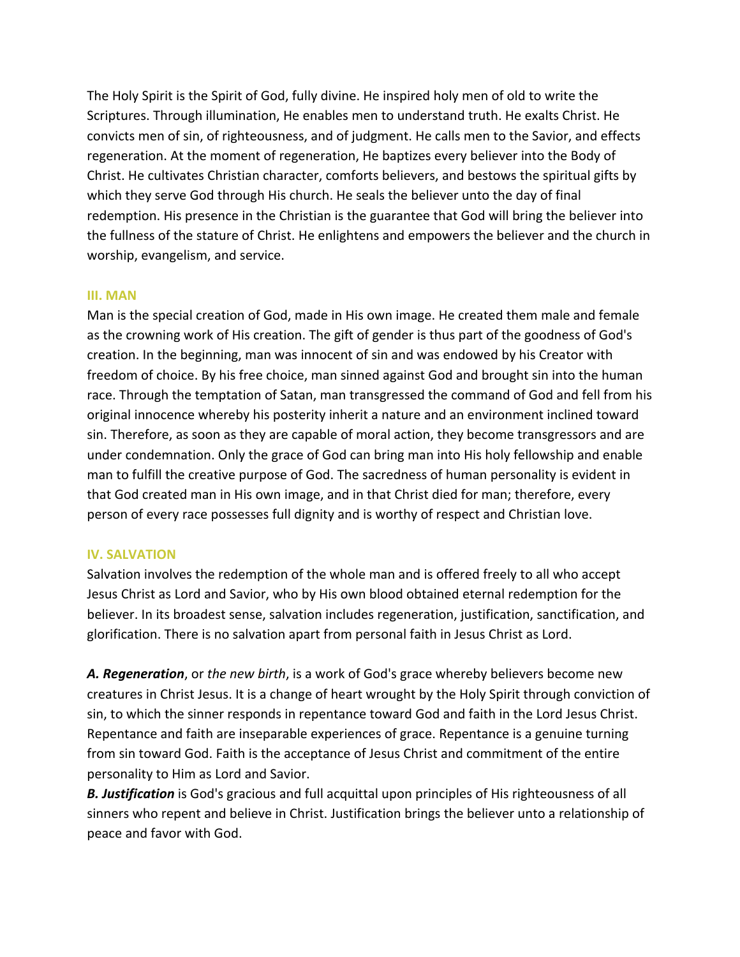The Holy Spirit is the Spirit of God, fully divine. He inspired holy men of old to write the Scriptures. Through illumination, He enables men to understand truth. He exalts Christ. He convicts men of sin, of righteousness, and of judgment. He calls men to the Savior, and effects regeneration. At the moment of regeneration, He baptizes every believer into the Body of Christ. He cultivates Christian character, comforts believers, and bestows the spiritual gifts by which they serve God through His church. He seals the believer unto the day of final redemption. His presence in the Christian is the guarantee that God will bring the believer into the fullness of the stature of Christ. He enlightens and empowers the believer and the church in worship, evangelism, and service.

## **III. MAN**

Man is the special creation of God, made in His own image. He created them male and female as the crowning work of His creation. The gift of gender is thus part of the goodness of God's creation. In the beginning, man was innocent of sin and was endowed by his Creator with freedom of choice. By his free choice, man sinned against God and brought sin into the human race. Through the temptation of Satan, man transgressed the command of God and fell from his original innocence whereby his posterity inherit a nature and an environment inclined toward sin. Therefore, as soon as they are capable of moral action, they become transgressors and are under condemnation. Only the grace of God can bring man into His holy fellowship and enable man to fulfill the creative purpose of God. The sacredness of human personality is evident in that God created man in His own image, and in that Christ died for man; therefore, every person of every race possesses full dignity and is worthy of respect and Christian love.

# **IV. SALVATION**

Salvation involves the redemption of the whole man and is offered freely to all who accept Jesus Christ as Lord and Savior, who by His own blood obtained eternal redemption for the believer. In its broadest sense, salvation includes regeneration, justification, sanctification, and glorification. There is no salvation apart from personal faith in Jesus Christ as Lord.

*A. Regeneration*, or *the new birth*, is a work of God's grace whereby believers become new creatures in Christ Jesus. It is a change of heart wrought by the Holy Spirit through conviction of sin, to which the sinner responds in repentance toward God and faith in the Lord Jesus Christ. Repentance and faith are inseparable experiences of grace. Repentance is a genuine turning from sin toward God. Faith is the acceptance of Jesus Christ and commitment of the entire personality to Him as Lord and Savior.

*B. Justification* is God's gracious and full acquittal upon principles of His righteousness of all sinners who repent and believe in Christ. Justification brings the believer unto a relationship of peace and favor with God.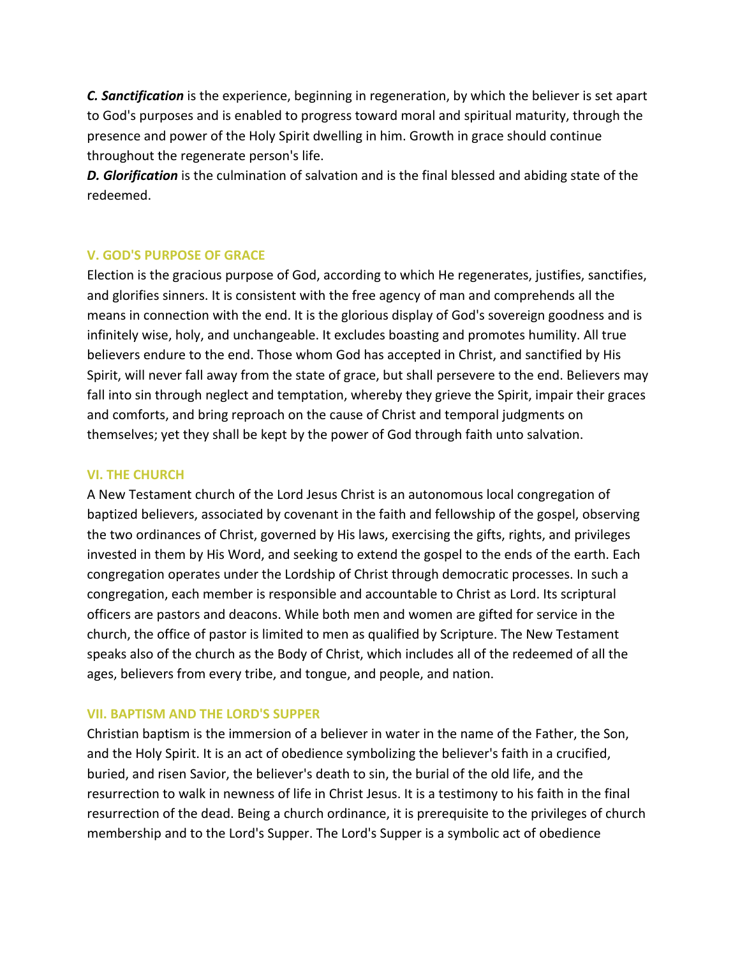*C. Sanctification* is the experience, beginning in regeneration, by which the believer is set apart to God's purposes and is enabled to progress toward moral and spiritual maturity, through the presence and power of the Holy Spirit dwelling in him. Growth in grace should continue throughout the regenerate person's life.

*D. Glorification* is the culmination of salvation and is the final blessed and abiding state of the redeemed.

# **V. GOD'S PURPOSE OF GRACE**

Election is the gracious purpose of God, according to which He regenerates, justifies, sanctifies, and glorifies sinners. It is consistent with the free agency of man and comprehends all the means in connection with the end. It is the glorious display of God's sovereign goodness and is infinitely wise, holy, and unchangeable. It excludes boasting and promotes humility. All true believers endure to the end. Those whom God has accepted in Christ, and sanctified by His Spirit, will never fall away from the state of grace, but shall persevere to the end. Believers may fall into sin through neglect and temptation, whereby they grieve the Spirit, impair their graces and comforts, and bring reproach on the cause of Christ and temporal judgments on themselves; yet they shall be kept by the power of God through faith unto salvation.

# **VI. THE CHURCH**

A New Testament church of the Lord Jesus Christ is an autonomous local congregation of baptized believers, associated by covenant in the faith and fellowship of the gospel, observing the two ordinances of Christ, governed by His laws, exercising the gifts, rights, and privileges invested in them by His Word, and seeking to extend the gospel to the ends of the earth. Each congregation operates under the Lordship of Christ through democratic processes. In such a congregation, each member is responsible and accountable to Christ as Lord. Its scriptural officers are pastors and deacons. While both men and women are gifted for service in the church, the office of pastor is limited to men as qualified by Scripture. The New Testament speaks also of the church as the Body of Christ, which includes all of the redeemed of all the ages, believers from every tribe, and tongue, and people, and nation.

# **VII. BAPTISM AND THE LORD'S SUPPER**

Christian baptism is the immersion of a believer in water in the name of the Father, the Son, and the Holy Spirit. It is an act of obedience symbolizing the believer's faith in a crucified, buried, and risen Savior, the believer's death to sin, the burial of the old life, and the resurrection to walk in newness of life in Christ Jesus. It is a testimony to his faith in the final resurrection of the dead. Being a church ordinance, it is prerequisite to the privileges of church membership and to the Lord's Supper. The Lord's Supper is a symbolic act of obedience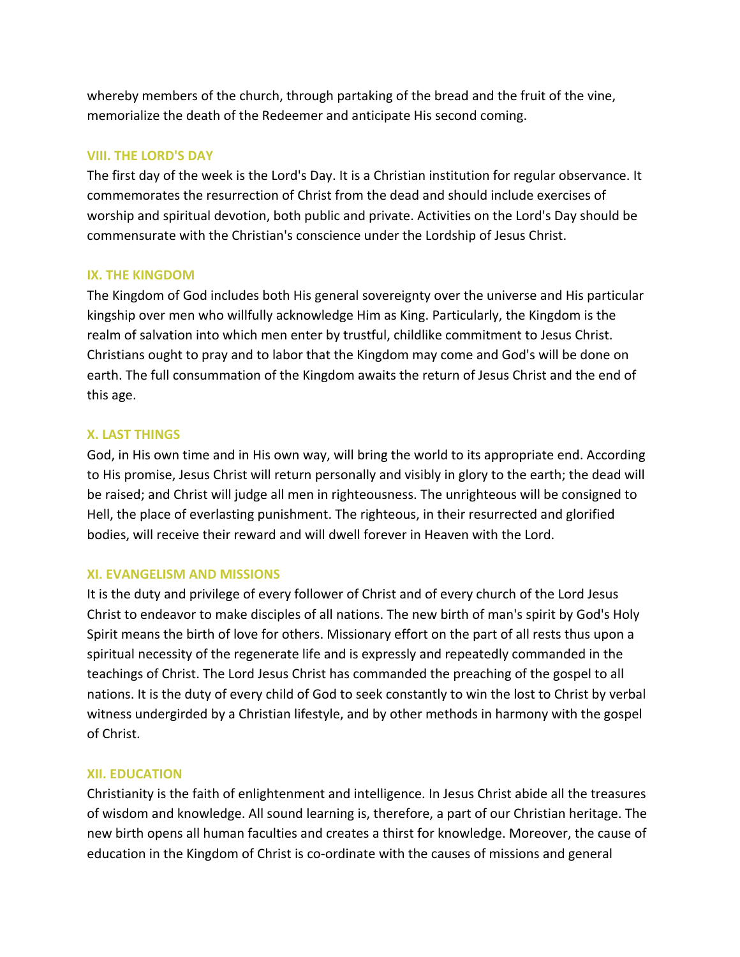whereby members of the church, through partaking of the bread and the fruit of the vine, memorialize the death of the Redeemer and anticipate His second coming.

# **VIII. THE LORD'S DAY**

The first day of the week is the Lord's Day. It is a Christian institution for regular observance. It commemorates the resurrection of Christ from the dead and should include exercises of worship and spiritual devotion, both public and private. Activities on the Lord's Day should be commensurate with the Christian's conscience under the Lordship of Jesus Christ.

# **IX. THE KINGDOM**

The Kingdom of God includes both His general sovereignty over the universe and His particular kingship over men who willfully acknowledge Him as King. Particularly, the Kingdom is the realm of salvation into which men enter by trustful, childlike commitment to Jesus Christ. Christians ought to pray and to labor that the Kingdom may come and God's will be done on earth. The full consummation of the Kingdom awaits the return of Jesus Christ and the end of this age.

# **X. LAST THINGS**

God, in His own time and in His own way, will bring the world to its appropriate end. According to His promise, Jesus Christ will return personally and visibly in glory to the earth; the dead will be raised; and Christ will judge all men in righteousness. The unrighteous will be consigned to Hell, the place of everlasting punishment. The righteous, in their resurrected and glorified bodies, will receive their reward and will dwell forever in Heaven with the Lord.

# **XI. EVANGELISM AND MISSIONS**

It is the duty and privilege of every follower of Christ and of every church of the Lord Jesus Christ to endeavor to make disciples of all nations. The new birth of man's spirit by God's Holy Spirit means the birth of love for others. Missionary effort on the part of all rests thus upon a spiritual necessity of the regenerate life and is expressly and repeatedly commanded in the teachings of Christ. The Lord Jesus Christ has commanded the preaching of the gospel to all nations. It is the duty of every child of God to seek constantly to win the lost to Christ by verbal witness undergirded by a Christian lifestyle, and by other methods in harmony with the gospel of Christ.

# **XII. EDUCATION**

Christianity is the faith of enlightenment and intelligence. In Jesus Christ abide all the treasures of wisdom and knowledge. All sound learning is, therefore, a part of our Christian heritage. The new birth opens all human faculties and creates a thirst for knowledge. Moreover, the cause of education in the Kingdom of Christ is co-ordinate with the causes of missions and general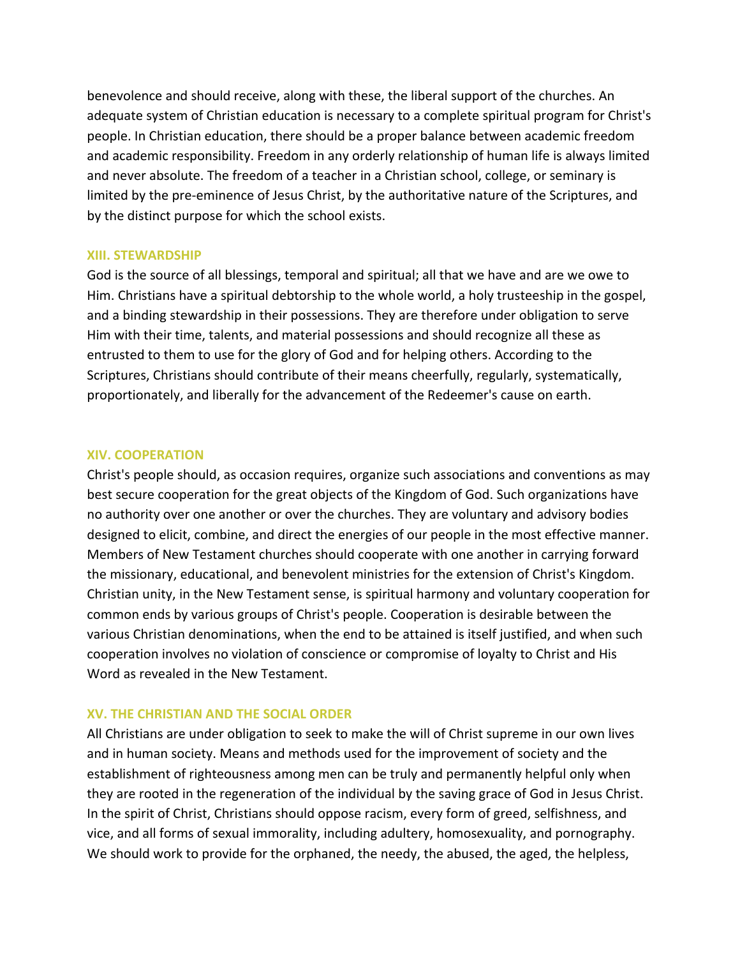benevolence and should receive, along with these, the liberal support of the churches. An adequate system of Christian education is necessary to a complete spiritual program for Christ's people. In Christian education, there should be a proper balance between academic freedom and academic responsibility. Freedom in any orderly relationship of human life is always limited and never absolute. The freedom of a teacher in a Christian school, college, or seminary is limited by the pre-eminence of Jesus Christ, by the authoritative nature of the Scriptures, and by the distinct purpose for which the school exists.

## **XIII. STEWARDSHIP**

God is the source of all blessings, temporal and spiritual; all that we have and are we owe to Him. Christians have a spiritual debtorship to the whole world, a holy trusteeship in the gospel, and a binding stewardship in their possessions. They are therefore under obligation to serve Him with their time, talents, and material possessions and should recognize all these as entrusted to them to use for the glory of God and for helping others. According to the Scriptures, Christians should contribute of their means cheerfully, regularly, systematically, proportionately, and liberally for the advancement of the Redeemer's cause on earth.

## **XIV. COOPERATION**

Christ's people should, as occasion requires, organize such associations and conventions as may best secure cooperation for the great objects of the Kingdom of God. Such organizations have no authority over one another or over the churches. They are voluntary and advisory bodies designed to elicit, combine, and direct the energies of our people in the most effective manner. Members of New Testament churches should cooperate with one another in carrying forward the missionary, educational, and benevolent ministries for the extension of Christ's Kingdom. Christian unity, in the New Testament sense, is spiritual harmony and voluntary cooperation for common ends by various groups of Christ's people. Cooperation is desirable between the various Christian denominations, when the end to be attained is itself justified, and when such cooperation involves no violation of conscience or compromise of loyalty to Christ and His Word as revealed in the New Testament.

# **XV. THE CHRISTIAN AND THE SOCIAL ORDER**

All Christians are under obligation to seek to make the will of Christ supreme in our own lives and in human society. Means and methods used for the improvement of society and the establishment of righteousness among men can be truly and permanently helpful only when they are rooted in the regeneration of the individual by the saving grace of God in Jesus Christ. In the spirit of Christ, Christians should oppose racism, every form of greed, selfishness, and vice, and all forms of sexual immorality, including adultery, homosexuality, and pornography. We should work to provide for the orphaned, the needy, the abused, the aged, the helpless,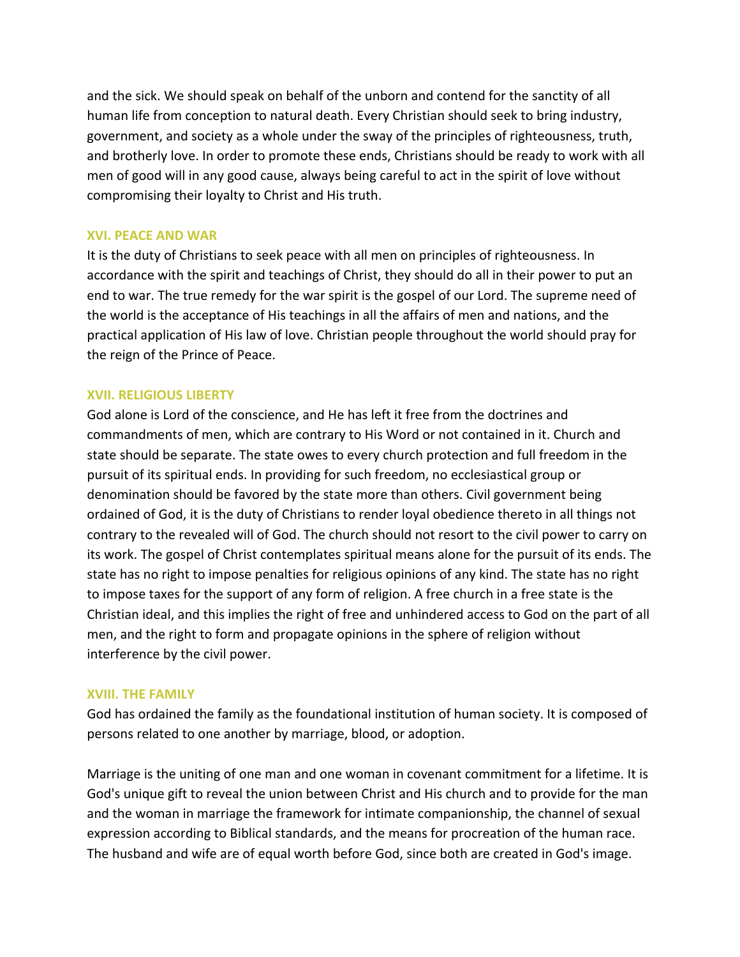and the sick. We should speak on behalf of the unborn and contend for the sanctity of all human life from conception to natural death. Every Christian should seek to bring industry, government, and society as a whole under the sway of the principles of righteousness, truth, and brotherly love. In order to promote these ends, Christians should be ready to work with all men of good will in any good cause, always being careful to act in the spirit of love without compromising their loyalty to Christ and His truth.

## **XVI. PEACE AND WAR**

It is the duty of Christians to seek peace with all men on principles of righteousness. In accordance with the spirit and teachings of Christ, they should do all in their power to put an end to war. The true remedy for the war spirit is the gospel of our Lord. The supreme need of the world is the acceptance of His teachings in all the affairs of men and nations, and the practical application of His law of love. Christian people throughout the world should pray for the reign of the Prince of Peace.

# **XVII. RELIGIOUS LIBERTY**

God alone is Lord of the conscience, and He has left it free from the doctrines and commandments of men, which are contrary to His Word or not contained in it. Church and state should be separate. The state owes to every church protection and full freedom in the pursuit of its spiritual ends. In providing for such freedom, no ecclesiastical group or denomination should be favored by the state more than others. Civil government being ordained of God, it is the duty of Christians to render loyal obedience thereto in all things not contrary to the revealed will of God. The church should not resort to the civil power to carry on its work. The gospel of Christ contemplates spiritual means alone for the pursuit of its ends. The state has no right to impose penalties for religious opinions of any kind. The state has no right to impose taxes for the support of any form of religion. A free church in a free state is the Christian ideal, and this implies the right of free and unhindered access to God on the part of all men, and the right to form and propagate opinions in the sphere of religion without interference by the civil power.

# **XVIII. THE FAMILY**

God has ordained the family as the foundational institution of human society. It is composed of persons related to one another by marriage, blood, or adoption.

Marriage is the uniting of one man and one woman in covenant commitment for a lifetime. It is God's unique gift to reveal the union between Christ and His church and to provide for the man and the woman in marriage the framework for intimate companionship, the channel of sexual expression according to Biblical standards, and the means for procreation of the human race. The husband and wife are of equal worth before God, since both are created in God's image.